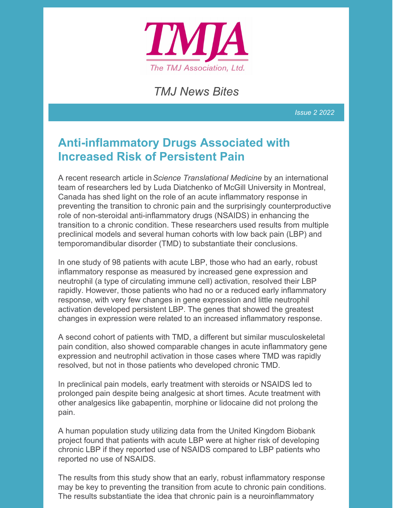

*TMJ News Bites*

*Issue 2 2022*

## **Anti-inflammatory Drugs Associated with Increased Risk of Persistent Pain**

A recent research article in*Science Translational Medicine* by an international team of researchers led by Luda Diatchenko of McGill University in Montreal, Canada has shed light on the role of an acute inflammatory response in preventing the transition to chronic pain and the surprisingly counterproductive role of non-steroidal anti-inflammatory drugs (NSAIDS) in enhancing the transition to a chronic condition. These researchers used results from multiple preclinical models and several human cohorts with low back pain (LBP) and temporomandibular disorder (TMD) to substantiate their conclusions.

In one study of 98 patients with acute LBP, those who had an early, robust inflammatory response as measured by increased gene expression and neutrophil (a type of circulating immune cell) activation, resolved their LBP rapidly. However, those patients who had no or a reduced early inflammatory response, with very few changes in gene expression and little neutrophil activation developed persistent LBP. The genes that showed the greatest changes in expression were related to an increased inflammatory response.

A second cohort of patients with TMD, a different but similar musculoskeletal pain condition, also showed comparable changes in acute inflammatory gene expression and neutrophil activation in those cases where TMD was rapidly resolved, but not in those patients who developed chronic TMD.

In preclinical pain models, early treatment with steroids or NSAIDS led to prolonged pain despite being analgesic at short times. Acute treatment with other analgesics like gabapentin, morphine or lidocaine did not prolong the pain.

A human population study utilizing data from the United Kingdom Biobank project found that patients with acute LBP were at higher risk of developing chronic LBP if they reported use of NSAIDS compared to LBP patients who reported no use of NSAIDS.

The results from this study show that an early, robust inflammatory response may be key to preventing the transition from acute to chronic pain conditions. The results substantiate the idea that chronic pain is a neuroinflammatory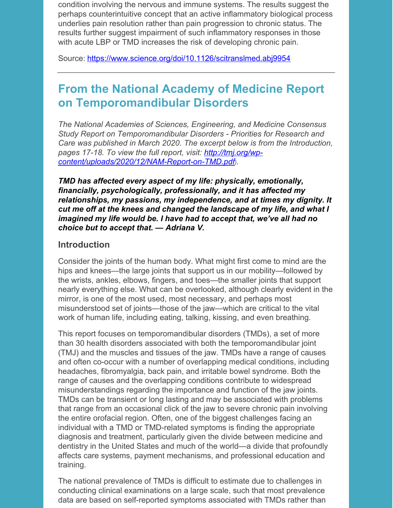condition involving the nervous and immune systems. The results suggest the perhaps counterintuitive concept that an active inflammatory biological process underlies pain resolution rather than pain progression to chronic status. The results further suggest impairment of such inflammatory responses in those with acute LBP or TMD increases the risk of developing chronic pain.

Source: <https://www.science.org/doi/10.1126/scitranslmed.abj9954>

## **From the National Academy of Medicine Report on Temporomandibular Disorders**

*The National Academies of Sciences, Engineering, and Medicine Consensus Study Report on Temporomandibular Disorders - Priorities for Research and Care was published in March 2020. The excerpt below is from the Introduction, pages 17-18. To view the full report, visit: http://tmj.org/wp[content/uploads/2020/12/NAM-Report-on-TMD.pdf](http://tmj.org/wp-content/uploads/2020/12/NAM-Report-on-TMD.pdf)).*

*TMD has affected every aspect of my life: physically, emotionally, financially, psychologically, professionally, and it has affected my relationships, my passions, my independence, and at times my dignity. It cut me off at the knees and changed the landscape of my life, and what I imagined my life would be. I have had to accept that, we've all had no choice but to accept that. — Adriana V.*

#### **Introduction**

Consider the joints of the human body. What might first come to mind are the hips and knees—the large joints that support us in our mobility—followed by the wrists, ankles, elbows, fingers, and toes—the smaller joints that support nearly everything else. What can be overlooked, although clearly evident in the mirror, is one of the most used, most necessary, and perhaps most misunderstood set of joints—those of the jaw—which are critical to the vital work of human life, including eating, talking, kissing, and even breathing.

This report focuses on temporomandibular disorders (TMDs), a set of more than 30 health disorders associated with both the temporomandibular joint (TMJ) and the muscles and tissues of the jaw. TMDs have a range of causes and often co-occur with a number of overlapping medical conditions, including headaches, fibromyalgia, back pain, and irritable bowel syndrome. Both the range of causes and the overlapping conditions contribute to widespread misunderstandings regarding the importance and function of the jaw joints. TMDs can be transient or long lasting and may be associated with problems that range from an occasional click of the jaw to severe chronic pain involving the entire orofacial region. Often, one of the biggest challenges facing an individual with a TMD or TMD-related symptoms is finding the appropriate diagnosis and treatment, particularly given the divide between medicine and dentistry in the United States and much of the world—a divide that profoundly affects care systems, payment mechanisms, and professional education and training.

The national prevalence of TMDs is difficult to estimate due to challenges in conducting clinical examinations on a large scale, such that most prevalence data are based on self-reported symptoms associated with TMDs rather than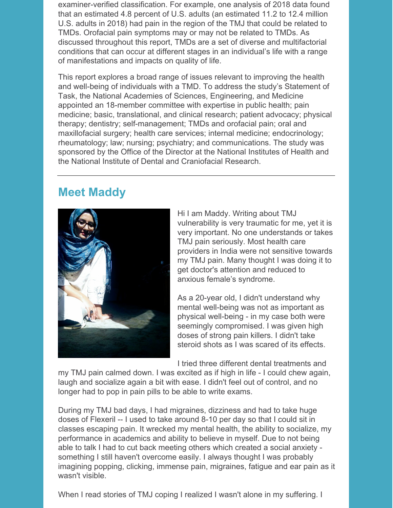examiner-verified classification. For example, one analysis of 2018 data found that an estimated 4.8 percent of U.S. adults (an estimated 11.2 to 12.4 million U.S. adults in 2018) had pain in the region of the TMJ that could be related to TMDs. Orofacial pain symptoms may or may not be related to TMDs. As discussed throughout this report, TMDs are a set of diverse and multifactorial conditions that can occur at different stages in an individual's life with a range of manifestations and impacts on quality of life.

This report explores a broad range of issues relevant to improving the health and well-being of individuals with a TMD. To address the study's Statement of Task, the National Academies of Sciences, Engineering, and Medicine appointed an 18-member committee with expertise in public health; pain medicine; basic, translational, and clinical research; patient advocacy; physical therapy; dentistry; self-management; TMDs and orofacial pain; oral and maxillofacial surgery; health care services; internal medicine; endocrinology; rheumatology; law; nursing; psychiatry; and communications. The study was sponsored by the Office of the Director at the National Institutes of Health and the National Institute of Dental and Craniofacial Research.

## **Meet Maddy**



Hi I am Maddy. Writing about TMJ vulnerability is very traumatic for me, yet it is very important. No one understands or takes TMJ pain seriously. Most health care providers in India were not sensitive towards my TMJ pain. Many thought I was doing it to get doctor's attention and reduced to anxious female's syndrome.

As a 20-year old, I didn't understand why mental well-being was not as important as physical well-being - in my case both were seemingly compromised. I was given high doses of strong pain killers. I didn't take steroid shots as I was scared of its effects.

I tried three different dental treatments and

my TMJ pain calmed down. I was excited as if high in life - I could chew again, laugh and socialize again a bit with ease. I didn't feel out of control, and no longer had to pop in pain pills to be able to write exams.

During my TMJ bad days, I had migraines, dizziness and had to take huge doses of Flexeril -- I used to take around 8-10 per day so that I could sit in classes escaping pain. It wrecked my mental health, the ability to socialize, my performance in academics and ability to believe in myself. Due to not being able to talk I had to cut back meeting others which created a social anxiety something I still haven't overcome easily. I always thought I was probably imagining popping, clicking, immense pain, migraines, fatigue and ear pain as it wasn't visible.

When I read stories of TMJ coping I realized I wasn't alone in my suffering. I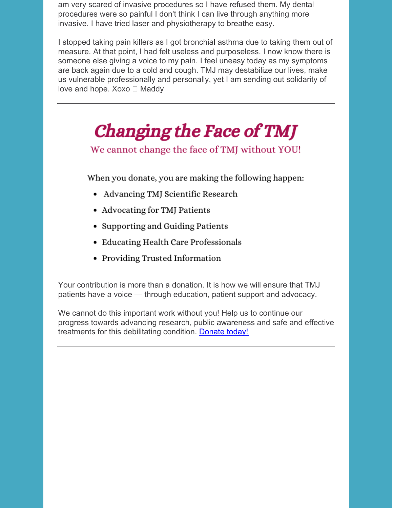am very scared of invasive procedures so I have refused them. My dental procedures were so painful I don't think I can live through anything more invasive. I have tried laser and physiotherapy to breathe easy.

I stopped taking pain killers as I got bronchial asthma due to taking them out of measure. At that point, I had felt useless and purposeless. I now know there is someone else giving a voice to my pain. I feel uneasy today as my symptoms are back again due to a cold and cough. TMJ may destabilize our lives, make us vulnerable professionally and personally, yet I am sending out solidarity of love and hope. Xoxo  $\Box$  Maddy

# Changing the Face of TMJ

We cannot change the face of TMJ without YOU!

When you donate, you are making the following happen:

- Advancing TMJ Scientific Research
- Advocating for TMJ Patients
- Supporting and Guiding Patients
- Educating Health Care Professionals
- Providing Trusted Information

Your contribution is more than a donation. It is how we will ensure that TMJ patients have a voice — through education, patient support and advocacy.

We cannot do this important work without you! Help us to continue our progress towards advancing research, public awareness and safe and effective treatments for this debilitating condition. [Donate](https://donate.givedirect.org/?cid=31&n=509484) today!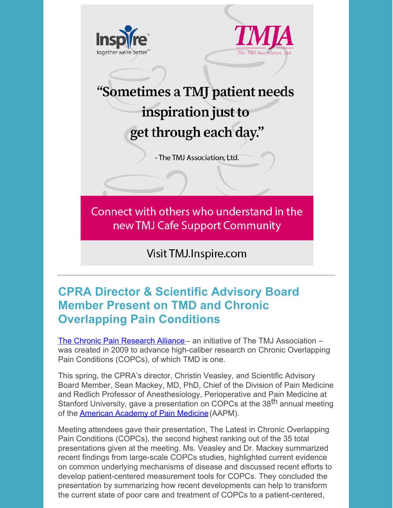

# **CPRA Director & Scientific Advisory Board Member Present on TMD and Chronic Overlapping Pain Conditions**

The Chronic Pain [Research](http://chronicpainresearch.org/site/index) Alliance – an initiative of The TMJ Association – was created in 2009 to advance high-caliber research on Chronic Overlapping Pain Conditions (COPCs), of which TMD is one.

This spring, the CPRA's director, Christin Veasley, and Scientific Advisory Board Member, Sean Mackey, MD, PhD, Chief of the Division of Pain Medicine and Redlich Professor of Anesthesiology, Perioperative and Pain Medicine at Stanford University, gave a presentation on COPCs at the 38<sup>th</sup> annual meeting of the [American](https://painmed.org/2022-meeting/) Academy of Pain Medicine(AAPM).

Meeting attendees gave their presentation, The Latest in Chronic Overlapping Pain Conditions (COPCs), the second highest ranking out of the 35 total presentations given at the meeting. Ms. Veasley and Dr. Mackey summarized recent findings from large-scale COPCs studies, highlighted current evidence on common underlying mechanisms of disease and discussed recent efforts to develop patient-centered measurement tools for COPCs. They concluded the presentation by summarizing how recent developments can help to transform the current state of poor care and treatment of COPCs to a patient-centered,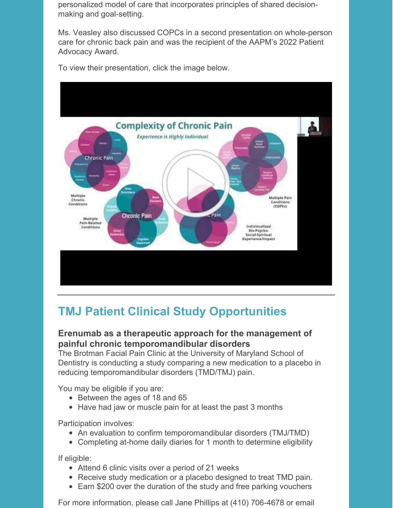personalized model of care that incorporates principles of shared decisionmaking and goal-setting.

Ms. Veasley also discussed COPCs in a second presentation on whole-person care for chronic back pain and was the recipient of the AAPM's 2022 Patient Advocacy Award.



To view their presentation, click the image below.

# **TMJ Patient Clinical Study Opportunities**

#### **Erenumab as a therapeutic approach for the management of painful chronic temporomandibular disorders**

The Brotman Facial Pain Clinic at the University of Maryland School of Dentistry is conducting a study comparing a new medication to a placebo in reducing temporomandibular disorders (TMD/TMJ) pain.

You may be eligible if you are:

- Between the ages of 18 and 65
- Have had jaw or muscle pain for at least the past 3 months

Participation involves:

- An evaluation to confirm temporomandibular disorders (TMJ/TMD)
- Completing at-home daily diaries for 1 month to determine eligibility

If eligible:

- Attend 6 clinic visits over a period of 21 weeks
- Receive study medication or a placebo designed to treat TMD pain.
- Earn \$200 over the duration of the study and free parking vouchers

For more information, please call Jane Phillips at (410) 706-4678 or email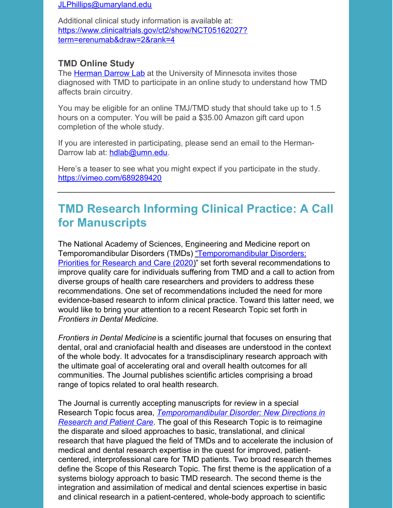[JLPhillips@umaryland.edu](mailto:JLPhillips@umaryland.edu)

Additional clinical study information is available at: [https://www.clinicaltrials.gov/ct2/show/NCT05162027?](https://www.clinicaltrials.gov/ct2/show/NCT05162027?term=erenumab&draw=2&rank=4) term=erenumab&draw=2&rank=4

#### **TMD Online Study**

The [Herman](http://hermandarrowlab.com) Darrow Lab at the University of Minnesota invites those diagnosed with TMD to participate in an online study to understand how TMD affects brain circuitry.

You may be eligible for an online TMJ/TMD study that should take up to 1.5 hours on a computer. You will be paid a \$35.00 Amazon gift card upon completion of the whole study.

If you are interested in participating, please send an email to the HermanDarrow lab at: [hdlab@umn.edu](mailto:hdlab@umn.edu).

Here's a teaser to see what you might expect if you participate in the study. <https://vimeo.com/689289420>

## **TMD Research Informing Clinical Practice: A Call for Manuscripts**

The National Academy of Sciences, Engineering and Medicine report on Temporomandibular Disorders (TMDs) ["Temporomandibular](http://tmj.org/wp-content/uploads/2020/12/NAM-Report-on-TMD.pdf) Disorders: Priorities for Research and Care (202[0\)](http://tmj.org/wp-content/uploads/2020/12/NAM-Report-on-TMD.pdf)" set forth several recommendations to improve quality care for individuals suffering from TMD and a call to action from diverse groups of health care researchers and providers to address these recommendations. One set of recommendations included the need for more evidence-based research to inform clinical practice. Toward this latter need, we would like to bring your attention to a recent Research Topic set forth in *Frontiers in Dental Medicine.*

*Frontiers in Dental Medicine* is a scientific journal that focuses on ensuring that dental, oral and craniofacial health and diseases are understood in the context of the whole body. It advocates for a transdisciplinary research approach with the ultimate goal of accelerating oral and overall health outcomes for all communities. The Journal publishes scientific articles comprising a broad range of topics related to oral health research.

The Journal is currently accepting manuscripts for review in a special Research Topic focus area, *[Temporomandibular](https://www.frontiersin.org/research-topics/34440/temporomandibular-disorder-new-directions-in-research-and-patient-care) Disorder: New Directions in Research and Patient Care*. The goal of this Research Topic is to reimagine the disparate and siloed approaches to basic, translational, and clinical research that have plagued the field of TMDs and to accelerate the inclusion of medical and dental research expertise in the quest for improved, patientcentered, interprofessional care for TMD patients. Two broad research themes define the Scope of this Research Topic. The first theme is the application of a systems biology approach to basic TMD research. The second theme is the integration and assimilation of medical and dental sciences expertise in basic and clinical research in a patient-centered, whole-body approach to scientific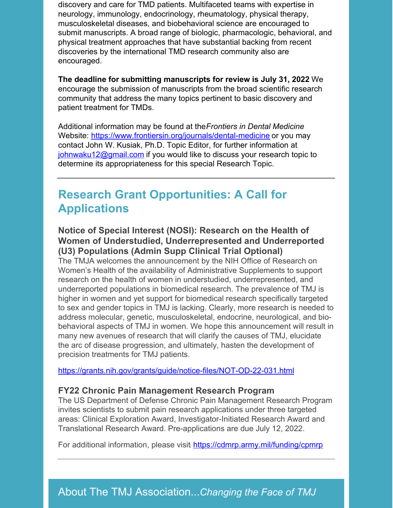discovery and care for TMD patients. Multifaceted teams with expertise in neurology, immunology, endocrinology, rheumatology, physical therapy, musculoskeletal diseases, and biobehavioral science are encouraged to submit manuscripts. A broad range of biologic, pharmacologic, behavioral, and physical treatment approaches that have substantial backing from recent discoveries by the international TMD research community also are encouraged.

**The deadline for submitting manuscripts for review is July 31, 2022**. We encourage the submission of manuscripts from the broad scientific research community that address the many topics pertinent to basic discovery and patient treatment for TMDs.

Additional information may be found at the*Frontiers in Dental Medicine* Website: <https://www.frontiersin.org/journals/dental-medicine> or you may contact John W. Kusiak, Ph.D. Topic Editor, for further information at [johnwaku12@gmail.com](mailto:johnwaku12@gmail.com) if you would like to discuss your research topic to determine its appropriateness for this special Research Topic.

## **Research Grant Opportunities: A Call for Applications**

#### **Notice of Special Interest (NOSI): Research on the Health of Women of Understudied, Underrepresented and Underreported (U3) Populations (Admin Supp Clinical Trial Optional)**

The TMJA welcomes the announcement by the NIH Office of Research on Women's Health of the availability of Administrative Supplements to support research on the health of women in understudied, underrepresented, and underreported populations in biomedical research. The prevalence of TMJ is higher in women and yet support for biomedical research specifically targeted to sex and gender topics in TMJ is lacking. Clearly, more research is needed to address molecular, genetic, musculoskeletal, endocrine, neurological, and biobehavioral aspects of TMJ in women. We hope this announcement will result in many new avenues of research that will clarify the causes of TMJ, elucidate the arc of disease progression, and ultimately, hasten the development of precision treatments for TMJ patients.

<https://grants.nih.gov/grants/guide/notice-files/NOT-OD-22-031.html>

#### **FY22 Chronic Pain Management Research Program**

The US Department of Defense Chronic Pain Management Research Program invites scientists to submit pain research applications under three targeted areas: Clinical Exploration Award, Investigator-Initiated Research Award and Translational Research Award. Pre-applications are due July 12, 2022.

For additional information, please visit <https://cdmrp.army.mil/funding/cpmrp>

### About The TMJ Association...*Changing the Face of TMJ*